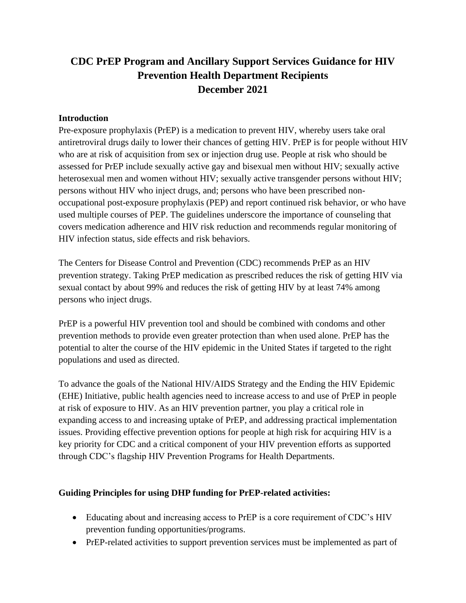# **CDC PrEP Program and Ancillary Support Services Guidance for HIV Prevention Health Department Recipients December 2021**

#### **Introduction**

Pre-exposure prophylaxis (PrEP) is a medication to prevent HIV, whereby users take oral antiretroviral drugs daily to lower their chances of getting HIV. PrEP is for people without HIV who are at risk of acquisition from sex or injection drug use. People at risk who should be assessed for PrEP include sexually active gay and bisexual men without HIV; sexually active heterosexual men and women without HIV; sexually active transgender persons without HIV; persons without HIV who inject drugs, and; persons who have been prescribed nonoccupational post-exposure prophylaxis (PEP) and report continued risk behavior, or who have used multiple courses of PEP. The guidelines underscore the importance of counseling that covers medication adherence and HIV risk reduction and recommends regular monitoring of HIV infection status, side effects and risk behaviors.

The Centers for Disease Control and Prevention (CDC) recommends PrEP as an HIV prevention strategy. Taking PrEP medication as prescribed reduces the risk of getting HIV via sexual contact by about 99% and reduces the risk of getting HIV by at least 74% among persons who inject drugs.

PrEP is a powerful HIV prevention tool and should be combined with condoms and other prevention methods to provide even greater protection than when used alone. PrEP has the potential to alter the course of the HIV epidemic in the United States if targeted to the right populations and used as directed.

To advance the goals of the National HIV/AIDS Strategy and the Ending the HIV Epidemic (EHE) Initiative, public health agencies need to increase access to and use of PrEP in people at risk of exposure to HIV. As an HIV prevention partner, you play a critical role in expanding access to and increasing uptake of PrEP, and addressing practical implementation issues. Providing effective prevention options for people at high risk for acquiring HIV is a key priority for CDC and a critical component of your HIV prevention efforts as supported through CDC's flagship HIV Prevention Programs for Health Departments.

#### **Guiding Principles for using DHP funding for PrEP-related activities:**

- Educating about and increasing access to PrEP is a core requirement of CDC's HIV prevention funding opportunities/programs.
- PrEP-related activities to support prevention services must be implemented as part of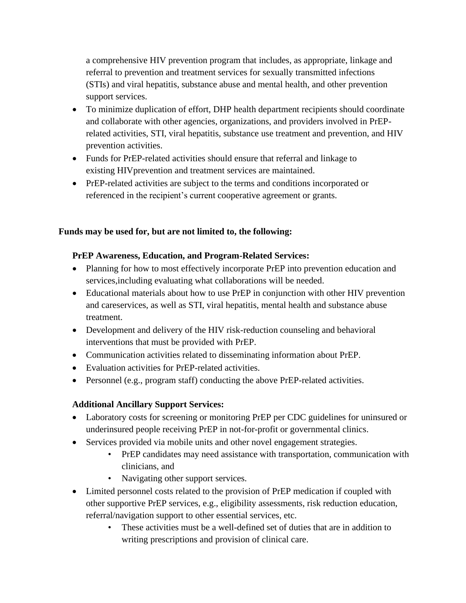a comprehensive HIV prevention program that includes, as appropriate, linkage and referral to prevention and treatment services for sexually transmitted infections (STIs) and viral hepatitis, substance abuse and mental health, and other prevention support services.

- To minimize duplication of effort, DHP health department recipients should coordinate and collaborate with other agencies, organizations, and providers involved in PrEPrelated activities, STI, viral hepatitis, substance use treatment and prevention, and HIV prevention activities.
- Funds for PrEP-related activities should ensure that referral and linkage to existing HIVprevention and treatment services are maintained.
- PrEP-related activities are subject to the terms and conditions incorporated or referenced in the recipient's current cooperative agreement or grants.

## **Funds may be used for, but are not limited to, the following:**

## **PrEP Awareness, Education, and Program-Related Services:**

- Planning for how to most effectively incorporate PrEP into prevention education and services,including evaluating what collaborations will be needed.
- Educational materials about how to use PrEP in conjunction with other HIV prevention and careservices, as well as STI, viral hepatitis, mental health and substance abuse treatment.
- Development and delivery of the HIV risk-reduction counseling and behavioral interventions that must be provided with PrEP.
- Communication activities related to disseminating information about PrEP.
- Evaluation activities for PrEP-related activities.
- Personnel (e.g., program staff) conducting the above PrEP-related activities.

# **Additional Ancillary Support Services:**

- Laboratory costs for screening or monitoring PrEP per CDC guidelines for uninsured or underinsured people receiving PrEP in not-for-profit or governmental clinics.
- Services provided via mobile units and other novel engagement strategies.
	- PrEP candidates may need assistance with transportation, communication with clinicians, and
	- Navigating other support services.
- Limited personnel costs related to the provision of PrEP medication if coupled with other supportive PrEP services, e.g., eligibility assessments, risk reduction education, referral/navigation support to other essential services, etc.
	- These activities must be a well-defined set of duties that are in addition to writing prescriptions and provision of clinical care.